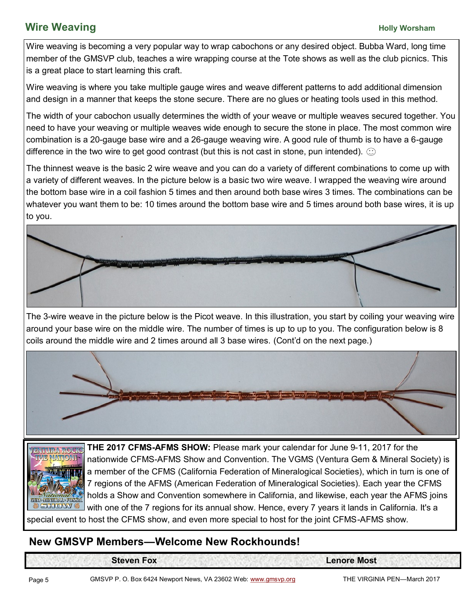## **Wire Weaving**<br> **Wire Weaving**

Wire weaving is becoming a very popular way to wrap cabochons or any desired object. Bubba Ward, long time member of the GMSVP club, teaches a wire wrapping course at the Tote shows as well as the club picnics. This is a great place to start learning this craft.

Wire weaving is where you take multiple gauge wires and weave different patterns to add additional dimension and design in a manner that keeps the stone secure. There are no glues or heating tools used in this method.

The width of your cabochon usually determines the width of your weave or multiple weaves secured together. You need to have your weaving or multiple weaves wide enough to secure the stone in place. The most common wire combination is a 20-gauge base wire and a 26-gauge weaving wire. A good rule of thumb is to have a 6-gauge difference in the two wire to get good contrast (but this is not cast in stone, pun intended).  $\circledcirc$ 

The thinnest weave is the basic 2 wire weave and you can do a variety of different combinations to come up with a variety of different weaves. In the picture below is a basic two wire weave. I wrapped the weaving wire around the bottom base wire in a coil fashion 5 times and then around both base wires 3 times. The combinations can be whatever you want them to be: 10 times around the bottom base wire and 5 times around both base wires, it is up to you.



The 3-wire weave in the picture below is the Picot weave. In this illustration, you start by coiling your weaving wire around your base wire on the middle wire. The number of times is up to up to you. The configuration below is 8 coils around the middle wire and 2 times around all 3 base wires. (Cont'd on the next page.)





**THE 2017 CFMS-AFMS SHOW:** Please mark your calendar for June 9-11, 2017 for the nationwide CFMS-AFMS Show and Convention. The VGMS (Ventura Gem & Mineral Society) is a member of the CFMS (California Federation of Mineralogical Societies), which in turn is one of 7 regions of the AFMS (American Federation of Mineralogical Societies). Each year the CFMS holds a Show and Convention somewhere in California, and likewise, each year the AFMS joins with one of the 7 regions for its annual show. Hence, every 7 years it lands in California. It's a

special event to host the CFMS show, and even more special to host for the joint CFMS-AFMS show.

### **New GMSVP Members—Welcome New Rockhounds!**

**Steven Fox Lenore Most**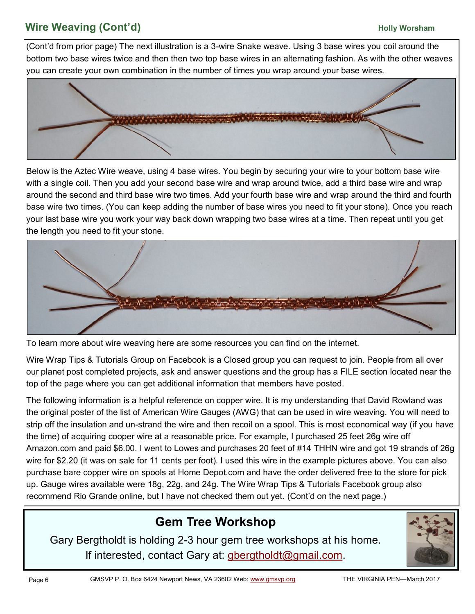# **Wire Weaving (Cont'd) Mixture Weaving (Cont'd) But all the Unit of the Unit of the Unit of the Unit of the Unit of the Unit of the Unit of the Unit of the Unit of the Unit of the Unit of the Unit of the Unit of the Un**

(Cont'd from prior page) The next illustration is a 3-wire Snake weave. Using 3 base wires you coil around the bottom two base wires twice and then then two top base wires in an alternating fashion. As with the other weaves you can create your own combination in the number of times you wrap around your base wires.



Below is the Aztec Wire weave, using 4 base wires. You begin by securing your wire to your bottom base wire with a single coil. Then you add your second base wire and wrap around twice, add a third base wire and wrap around the second and third base wire two times. Add your fourth base wire and wrap around the third and fourth base wire two times. (You can keep adding the number of base wires you need to fit your stone). Once you reach your last base wire you work your way back down wrapping two base wires at a time. Then repeat until you get the length you need to fit your stone.



To learn more about wire weaving here are some resources you can find on the internet.

Wire Wrap Tips & Tutorials Group on Facebook is a Closed group you can request to join. People from all over our planet post completed projects, ask and answer questions and the group has a FILE section located near the top of the page where you can get additional information that members have posted.

The following information is a helpful reference on copper wire. It is my understanding that David Rowland was the original poster of the list of American Wire Gauges (AWG) that can be used in wire weaving. You will need to strip off the insulation and un-strand the wire and then recoil on a spool. This is most economical way (if you have the time) of acquiring cooper wire at a reasonable price. For example, I purchased 25 feet 26g wire off Amazon.com and paid \$6.00. I went to Lowes and purchases 20 feet of #14 THHN wire and got 19 strands of 26g wire for \$2.20 (it was on sale for 11 cents per foot). I used this wire in the example pictures above. You can also purchase bare copper wire on spools at Home Depot.com and have the order delivered free to the store for pick up. Gauge wires available were 18g, 22g, and 24g. The Wire Wrap Tips & Tutorials Facebook group also recommend Rio Grande online, but I have not checked them out yet. (Cont'd on the next page.)

# **Gem Tree Workshop**

Gary Bergtholdt is holding 2-3 hour gem tree workshops at his home. If interested, contact Gary at: [gbergtholdt@gmail.com.](mailto:gbergtholdt@gmail.com)